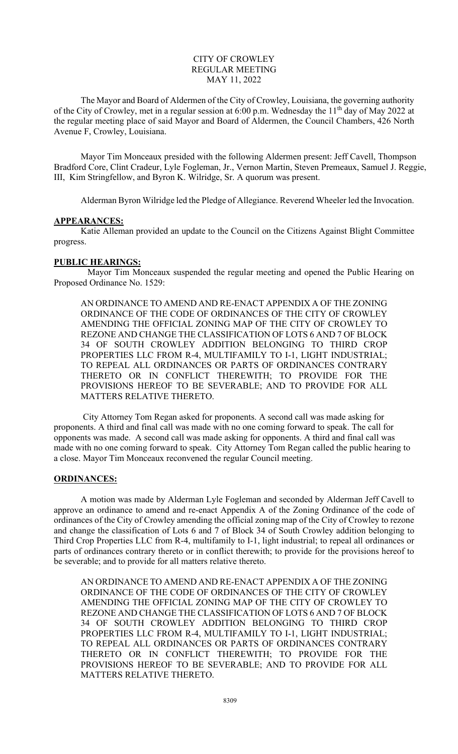## CITY OF CROWLEY REGULAR MEETING MAY 11, 2022

The Mayor and Board of Aldermen of the City of Crowley, Louisiana, the governing authority of the City of Crowley, met in a regular session at 6:00 p.m. Wednesday the 11<sup>th</sup> day of May 2022 at the regular meeting place of said Mayor and Board of Aldermen, the Council Chambers, 426 North Avenue F, Crowley, Louisiana.

 Mayor Tim Monceaux presided with the following Aldermen present: Jeff Cavell, Thompson Bradford Core, Clint Cradeur, Lyle Fogleman, Jr., Vernon Martin, Steven Premeaux, Samuel J. Reggie, III, Kim Stringfellow, and Byron K. Wilridge, Sr. A quorum was present.

Alderman Byron Wilridge led the Pledge of Allegiance. Reverend Wheeler led the Invocation.

## **APPEARANCES:**

 Katie Alleman provided an update to the Council on the Citizens Against Blight Committee progress.

## **PUBLIC HEARINGS:**

Mayor Tim Monceaux suspended the regular meeting and opened the Public Hearing on Proposed Ordinance No. 1529:

AN ORDINANCE TO AMEND AND RE-ENACT APPENDIX A OF THE ZONING ORDINANCE OF THE CODE OF ORDINANCES OF THE CITY OF CROWLEY AMENDING THE OFFICIAL ZONING MAP OF THE CITY OF CROWLEY TO REZONE AND CHANGE THE CLASSIFICATION OF LOTS 6 AND 7 OF BLOCK 34 OF SOUTH CROWLEY ADDITION BELONGING TO THIRD CROP PROPERTIES LLC FROM R-4, MULTIFAMILY TO I-1, LIGHT INDUSTRIAL; TO REPEAL ALL ORDINANCES OR PARTS OF ORDINANCES CONTRARY THERETO OR IN CONFLICT THEREWITH; TO PROVIDE FOR THE PROVISIONS HEREOF TO BE SEVERABLE; AND TO PROVIDE FOR ALL MATTERS RELATIVE THERETO.

 City Attorney Tom Regan asked for proponents. A second call was made asking for proponents. A third and final call was made with no one coming forward to speak. The call for opponents was made. A second call was made asking for opponents. A third and final call was made with no one coming forward to speak. City Attorney Tom Regan called the public hearing to a close. Mayor Tim Monceaux reconvened the regular Council meeting.

## **ORDINANCES:**

A motion was made by Alderman Lyle Fogleman and seconded by Alderman Jeff Cavell to approve an ordinance to amend and re-enact Appendix A of the Zoning Ordinance of the code of ordinances of the City of Crowley amending the official zoning map of the City of Crowley to rezone and change the classification of Lots 6 and 7 of Block 34 of South Crowley addition belonging to Third Crop Properties LLC from R-4, multifamily to I-1, light industrial; to repeal all ordinances or parts of ordinances contrary thereto or in conflict therewith; to provide for the provisions hereof to be severable; and to provide for all matters relative thereto.

AN ORDINANCE TO AMEND AND RE-ENACT APPENDIX A OF THE ZONING ORDINANCE OF THE CODE OF ORDINANCES OF THE CITY OF CROWLEY AMENDING THE OFFICIAL ZONING MAP OF THE CITY OF CROWLEY TO REZONE AND CHANGE THE CLASSIFICATION OF LOTS 6 AND 7 OF BLOCK 34 OF SOUTH CROWLEY ADDITION BELONGING TO THIRD CROP PROPERTIES LLC FROM R-4, MULTIFAMILY TO I-1, LIGHT INDUSTRIAL; TO REPEAL ALL ORDINANCES OR PARTS OF ORDINANCES CONTRARY THERETO OR IN CONFLICT THEREWITH; TO PROVIDE FOR THE PROVISIONS HEREOF TO BE SEVERABLE; AND TO PROVIDE FOR ALL MATTERS RELATIVE THERETO.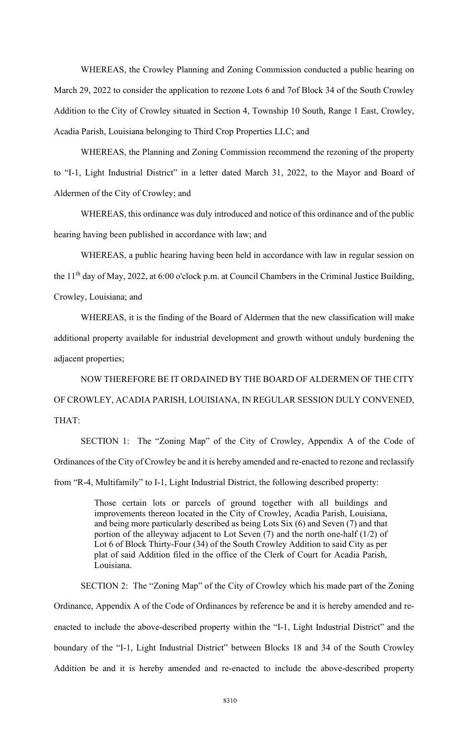WHEREAS, the Crowley Planning and Zoning Commission conducted a public hearing on March 29, 2022 to consider the application to rezone Lots 6 and 7of Block 34 of the South Crowley Addition to the City of Crowley situated in Section 4, Township 10 South, Range 1 East, Crowley, Acadia Parish, Louisiana belonging to Third Crop Properties LLC; and

WHEREAS, the Planning and Zoning Commission recommend the rezoning of the property to "I-1, Light Industrial District" in a letter dated March 31, 2022, to the Mayor and Board of Aldermen of the City of Crowley; and

WHEREAS, this ordinance was duly introduced and notice of this ordinance and of the public hearing having been published in accordance with law; and

WHEREAS, a public hearing having been held in accordance with law in regular session on the  $11<sup>th</sup>$  day of May, 2022, at 6:00 o'clock p.m. at Council Chambers in the Criminal Justice Building, Crowley, Louisiana; and

WHEREAS, it is the finding of the Board of Aldermen that the new classification will make additional property available for industrial development and growth without unduly burdening the adjacent properties;

NOW THEREFORE BE IT ORDAINED BY THE BOARD OF ALDERMEN OF THE CITY OF CROWLEY, ACADIA PARISH, LOUISIANA, IN REGULAR SESSION DULY CONVENED, THAT:

SECTION 1: The "Zoning Map" of the City of Crowley, Appendix A of the Code of Ordinances of the City of Crowley be and it is hereby amended and re-enacted to rezone and reclassify from "R-4, Multifamily" to I-1, Light Industrial District, the following described property:

> Those certain lots or parcels of ground together with all buildings and improvements thereon located in the City of Crowley, Acadia Parish, Louisiana, and being more particularly described as being Lots Six (6) and Seven (7) and that portion of the alleyway adjacent to Lot Seven (7) and the north one-half (1/2) of Lot 6 of Block Thirty-Four (34) of the South Crowley Addition to said City as per plat of said Addition filed in the office of the Clerk of Court for Acadia Parish, Louisiana.

SECTION 2: The "Zoning Map" of the City of Crowley which his made part of the Zoning Ordinance, Appendix A of the Code of Ordinances by reference be and it is hereby amended and reenacted to include the above-described property within the "I-1, Light Industrial District" and the boundary of the "I-1, Light Industrial District" between Blocks 18 and 34 of the South Crowley Addition be and it is hereby amended and re-enacted to include the above-described property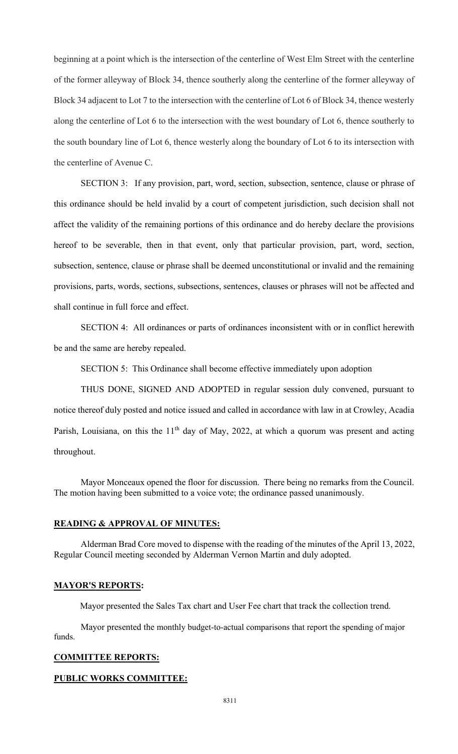beginning at a point which is the intersection of the centerline of West Elm Street with the centerline of the former alleyway of Block 34, thence southerly along the centerline of the former alleyway of Block 34 adjacent to Lot 7 to the intersection with the centerline of Lot 6 of Block 34, thence westerly along the centerline of Lot 6 to the intersection with the west boundary of Lot 6, thence southerly to the south boundary line of Lot 6, thence westerly along the boundary of Lot 6 to its intersection with the centerline of Avenue C.

SECTION 3: If any provision, part, word, section, subsection, sentence, clause or phrase of this ordinance should be held invalid by a court of competent jurisdiction, such decision shall not affect the validity of the remaining portions of this ordinance and do hereby declare the provisions hereof to be severable, then in that event, only that particular provision, part, word, section, subsection, sentence, clause or phrase shall be deemed unconstitutional or invalid and the remaining provisions, parts, words, sections, subsections, sentences, clauses or phrases will not be affected and shall continue in full force and effect.

SECTION 4: All ordinances or parts of ordinances inconsistent with or in conflict herewith be and the same are hereby repealed.

SECTION 5: This Ordinance shall become effective immediately upon adoption

THUS DONE, SIGNED AND ADOPTED in regular session duly convened, pursuant to notice thereof duly posted and notice issued and called in accordance with law in at Crowley, Acadia Parish, Louisiana, on this the  $11<sup>th</sup>$  day of May, 2022, at which a quorum was present and acting throughout.

Mayor Monceaux opened the floor for discussion. There being no remarks from the Council. The motion having been submitted to a voice vote; the ordinance passed unanimously.

### **READING & APPROVAL OF MINUTES:**

Alderman Brad Core moved to dispense with the reading of the minutes of the April 13, 2022, Regular Council meeting seconded by Alderman Vernon Martin and duly adopted.

#### **MAYOR'S REPORTS:**

Mayor presented the Sales Tax chart and User Fee chart that track the collection trend.

Mayor presented the monthly budget-to-actual comparisons that report the spending of major funds.

# **COMMITTEE REPORTS:**

### **PUBLIC WORKS COMMITTEE:**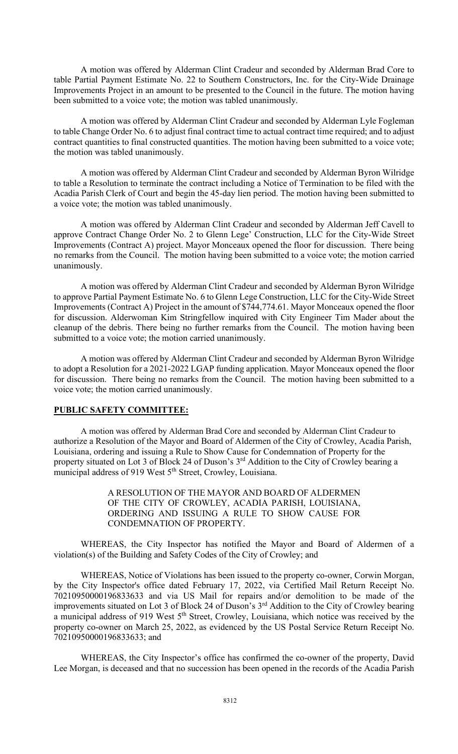A motion was offered by Alderman Clint Cradeur and seconded by Alderman Brad Core to table Partial Payment Estimate No. 22 to Southern Constructors, Inc. for the City-Wide Drainage Improvements Project in an amount to be presented to the Council in the future. The motion having been submitted to a voice vote; the motion was tabled unanimously.

A motion was offered by Alderman Clint Cradeur and seconded by Alderman Lyle Fogleman to table Change Order No. 6 to adjust final contract time to actual contract time required; and to adjust contract quantities to final constructed quantities. The motion having been submitted to a voice vote; the motion was tabled unanimously.

A motion was offered by Alderman Clint Cradeur and seconded by Alderman Byron Wilridge to table a Resolution to terminate the contract including a Notice of Termination to be filed with the Acadia Parish Clerk of Court and begin the 45-day lien period. The motion having been submitted to a voice vote; the motion was tabled unanimously.

A motion was offered by Alderman Clint Cradeur and seconded by Alderman Jeff Cavell to approve Contract Change Order No. 2 to Glenn Lege' Construction, LLC for the City-Wide Street Improvements (Contract A) project. Mayor Monceaux opened the floor for discussion. There being no remarks from the Council. The motion having been submitted to a voice vote; the motion carried unanimously.

A motion was offered by Alderman Clint Cradeur and seconded by Alderman Byron Wilridge to approve Partial Payment Estimate No. 6 to Glenn Lege Construction, LLC for the City-Wide Street Improvements (Contract A) Project in the amount of \$744,774.61. Mayor Monceaux opened the floor for discussion. Alderwoman Kim Stringfellow inquired with City Engineer Tim Mader about the cleanup of the debris. There being no further remarks from the Council. The motion having been submitted to a voice vote; the motion carried unanimously.

A motion was offered by Alderman Clint Cradeur and seconded by Alderman Byron Wilridge to adopt a Resolution for a 2021-2022 LGAP funding application. Mayor Monceaux opened the floor for discussion. There being no remarks from the Council. The motion having been submitted to a voice vote; the motion carried unanimously.

## **PUBLIC SAFETY COMMITTEE:**

A motion was offered by Alderman Brad Core and seconded by Alderman Clint Cradeur to authorize a Resolution of the Mayor and Board of Aldermen of the City of Crowley, Acadia Parish, Louisiana, ordering and issuing a Rule to Show Cause for Condemnation of Property for the property situated on Lot 3 of Block 24 of Duson's 3<sup>rd</sup> Addition to the City of Crowley bearing a municipal address of 919 West 5<sup>th</sup> Street, Crowley, Louisiana.

> A RESOLUTION OF THE MAYOR AND BOARD OF ALDERMEN OF THE CITY OF CROWLEY, ACADIA PARISH, LOUISIANA, ORDERING AND ISSUING A RULE TO SHOW CAUSE FOR CONDEMNATION OF PROPERTY.

WHEREAS, the City Inspector has notified the Mayor and Board of Aldermen of a violation(s) of the Building and Safety Codes of the City of Crowley; and

WHEREAS, Notice of Violations has been issued to the property co-owner, Corwin Morgan, by the City Inspector's office dated February 17, 2022, via Certified Mail Return Receipt No. 70210950000196833633 and via US Mail for repairs and/or demolition to be made of the improvements situated on Lot 3 of Block 24 of Duson's 3<sup>rd</sup> Addition to the City of Crowley bearing a municipal address of 919 West 5<sup>th</sup> Street, Crowley, Louisiana, which notice was received by the property co-owner on March 25, 2022, as evidenced by the US Postal Service Return Receipt No. 70210950000196833633; and

WHEREAS, the City Inspector's office has confirmed the co-owner of the property, David Lee Morgan, is deceased and that no succession has been opened in the records of the Acadia Parish